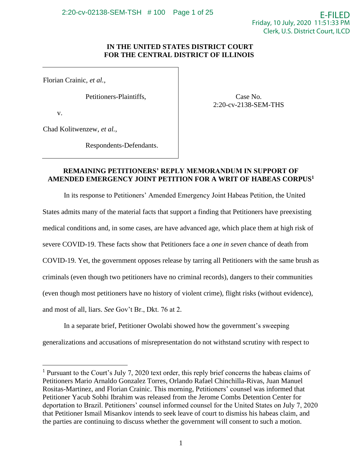Case No. 2:20-cv-2138-SEM-THS

# **IN THE UNITED STATES DISTRICT COURT FOR THE CENTRAL DISTRICT OF ILLINOIS**

Florian Crainic, *et al.*,

Petitioners-Plaintiffs,

v.

Chad Kolitwenzew, *et al.*,

Respondents-Defendants.

# **REMAINING PETITIONERS' REPLY MEMORANDUM IN SUPPORT OF AMENDED EMERGENCY JOINT PETITION FOR A WRIT OF HABEAS CORPUS<sup>1</sup>**

In its response to Petitioners' Amended Emergency Joint Habeas Petition, the United States admits many of the material facts that support a finding that Petitioners have preexisting medical conditions and, in some cases, are have advanced age, which place them at high risk of severe COVID-19. These facts show that Petitioners face a *one in seven* chance of death from COVID-19. Yet, the government opposes release by tarring all Petitioners with the same brush as criminals (even though two petitioners have no criminal records), dangers to their communities (even though most petitioners have no history of violent crime), flight risks (without evidence), and most of all, liars. *See* Gov't Br., Dkt. 76 at 2.

In a separate brief, Petitioner Owolabi showed how the government's sweeping generalizations and accusations of misrepresentation do not withstand scrutiny with respect to

<sup>&</sup>lt;sup>1</sup> Pursuant to the Court's July 7, 2020 text order, this reply brief concerns the habeas claims of Petitioners Mario Arnaldo Gonzalez Torres, Orlando Rafael Chinchilla-Rivas, Juan Manuel Rositas-Martinez, and Florian Crainic. This morning, Petitioners' counsel was informed that Petitioner Yacub Sobhi Ibrahim was released from the Jerome Combs Detention Center for deportation to Brazil. Petitioners' counsel informed counsel for the United States on July 7, 2020 that Petitioner Ismail Misankov intends to seek leave of court to dismiss his habeas claim, and the parties are continuing to discuss whether the government will consent to such a motion.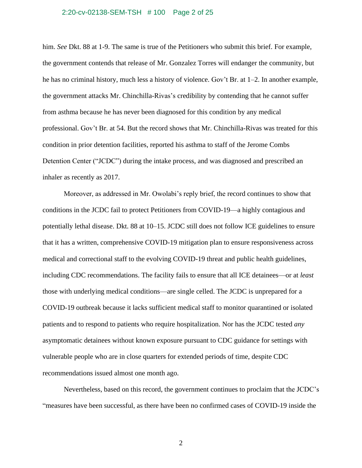#### 2:20-cv-02138-SEM-TSH # 100 Page 2 of 25

him. *See* Dkt. 88 at 1-9. The same is true of the Petitioners who submit this brief. For example, the government contends that release of Mr. Gonzalez Torres will endanger the community, but he has no criminal history, much less a history of violence. Gov't Br. at 1–2. In another example, the government attacks Mr. Chinchilla-Rivas's credibility by contending that he cannot suffer from asthma because he has never been diagnosed for this condition by any medical professional. Gov't Br. at 54. But the record shows that Mr. Chinchilla-Rivas was treated for this condition in prior detention facilities, reported his asthma to staff of the Jerome Combs Detention Center ("JCDC") during the intake process, and was diagnosed and prescribed an inhaler as recently as 2017.

Moreover, as addressed in Mr. Owolabi's reply brief, the record continues to show that conditions in the JCDC fail to protect Petitioners from COVID-19—a highly contagious and potentially lethal disease. Dkt. 88 at 10–15. JCDC still does not follow ICE guidelines to ensure that it has a written, comprehensive COVID-19 mitigation plan to ensure responsiveness across medical and correctional staff to the evolving COVID-19 threat and public health guidelines, including CDC recommendations. The facility fails to ensure that all ICE detainees—or at *least* those with underlying medical conditions—are single celled. The JCDC is unprepared for a COVID-19 outbreak because it lacks sufficient medical staff to monitor quarantined or isolated patients and to respond to patients who require hospitalization. Nor has the JCDC tested *any* asymptomatic detainees without known exposure pursuant to CDC guidance for settings with vulnerable people who are in close quarters for extended periods of time, despite CDC recommendations issued almost one month ago.

Nevertheless, based on this record, the government continues to proclaim that the JCDC's "measures have been successful, as there have been no confirmed cases of COVID-19 inside the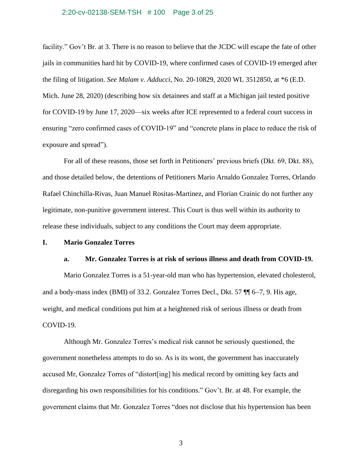## 2:20-cv-02138-SEM-TSH # 100 Page 3 of 25

facility." Gov't Br. at 3. There is no reason to believe that the JCDC will escape the fate of other jails in communities hard hit by COVID-19, where confirmed cases of COVID-19 emerged after the filing of litigation. *See Malam v. Adducci*, No. 20-10829, 2020 WL 3512850, at \*6 (E.D. Mich. June 28, 2020) (describing how six detainees and staff at a Michigan jail tested positive for COVID-19 by June 17, 2020—six weeks after ICE represented to a federal court success in ensuring "zero confirmed cases of COVID-19" and "concrete plans in place to reduce the risk of exposure and spread").

For all of these reasons, those set forth in Petitioners' previous briefs (Dkt. 69, Dkt. 88), and those detailed below, the detentions of Petitioners Mario Arnaldo Gonzalez Torres, Orlando Rafael Chinchilla-Rivas, Juan Manuel Rositas-Martinez, and Florian Crainic do not further any legitimate, non-punitive government interest. This Court is thus well within its authority to release these individuals, subject to any conditions the Court may deem appropriate.

# **I. Mario Gonzalez Torres**

# **a. Mr. Gonzalez Torres is at risk of serious illness and death from COVID-19.**

Mario Gonzalez Torres is a 51-year-old man who has hypertension, elevated cholesterol, and a body-mass index (BMI) of 33.2. Gonzalez Torres Decl., Dkt. 57 ¶¶ 6−7, 9. His age, weight, and medical conditions put him at a heightened risk of serious illness or death from COVID-19.

Although Mr. Gonzalez Torres's medical risk cannot be seriously questioned, the government nonetheless attempts to do so. As is its wont, the government has inaccurately accused Mr, Gonzalez Torres of "distort[ing] his medical record by omitting key facts and disregarding his own responsibilities for his conditions." Gov't. Br. at 48. For example, the government claims that Mr. Gonzalez Torres "does not disclose that his hypertension has been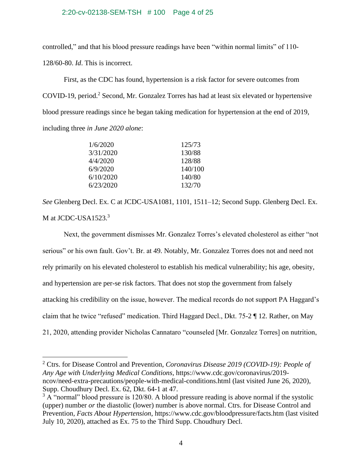## 2:20-cv-02138-SEM-TSH # 100 Page 4 of 25

controlled," and that his blood pressure readings have been "within normal limits" of 110-

128/60-80. *Id*. This is incorrect.

First, as the CDC has found, hypertension is a risk factor for severe outcomes from COVID-19, period.<sup>2</sup> Second, Mr. Gonzalez Torres has had at least six elevated or hypertensive blood pressure readings since he began taking medication for hypertension at the end of 2019, including three *in June 2020 alone*:

| 1/6/2020  | 125/73  |
|-----------|---------|
| 3/31/2020 | 130/88  |
| 4/4/2020  | 128/88  |
| 6/9/2020  | 140/100 |
| 6/10/2020 | 140/80  |
| 6/23/2020 | 132/70  |

*See* Glenberg Decl. Ex. C at JCDC-USA1081, 1101, 1511–12; Second Supp. Glenberg Decl. Ex. M at JCDC-USA1523.<sup>3</sup>

Next, the government dismisses Mr. Gonzalez Torres's elevated cholesterol as either "not serious" or his own fault. Gov't. Br. at 49. Notably, Mr. Gonzalez Torres does not and need not rely primarily on his elevated cholesterol to establish his medical vulnerability; his age, obesity, and hypertension are per-se risk factors. That does not stop the government from falsely attacking his credibility on the issue, however. The medical records do not support PA Haggard's claim that he twice "refused" medication. Third Haggard Decl., Dkt. 75-2 ¶ 12. Rather, on May 21, 2020, attending provider Nicholas Cannataro "counseled [Mr. Gonzalez Torres] on nutrition,

<sup>2</sup> Ctrs. for Disease Control and Prevention, *Coronavirus Disease 2019 (COVID-19): People of Any Age with Underlying Medical Conditions*, https://www.cdc.gov/coronavirus/2019 ncov/need-extra-precautions/people-with-medical-conditions.html (last visited June 26, 2020), Supp. Choudhury Decl. Ex. 62, Dkt. 64-1 at 47.

 $3 \text{ Å}$  "normal" blood pressure is 120/80. A blood pressure reading is above normal if the systolic (upper) number *or* the diastolic (lower) number is above normal. Ctrs. for Disease Control and Prevention*, Facts About Hypertension*,<https://www.cdc.gov/bloodpressure/facts.htm> (last visited July 10, 2020), attached as Ex. 75 to the Third Supp. Choudhury Decl.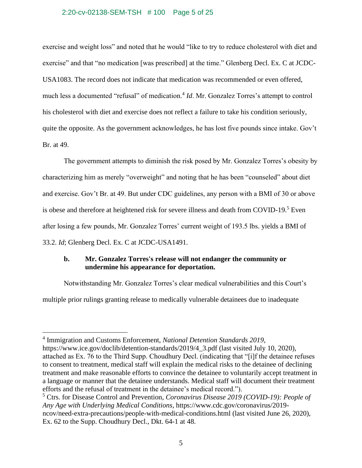## 2:20-cv-02138-SEM-TSH # 100 Page 5 of 25

exercise and weight loss" and noted that he would "like to try to reduce cholesterol with diet and exercise" and that "no medication [was prescribed] at the time." Glenberg Decl. Ex. C at JCDC-USA1083. The record does not indicate that medication was recommended or even offered, much less a documented "refusal" of medication.<sup>4</sup> *Id*. Mr. Gonzalez Torres's attempt to control his cholesterol with diet and exercise does not reflect a failure to take his condition seriously, quite the opposite. As the government acknowledges, he has lost five pounds since intake. Gov't Br. at 49.

The government attempts to diminish the risk posed by Mr. Gonzalez Torres's obesity by characterizing him as merely "overweight" and noting that he has been "counseled" about diet and exercise. Gov't Br. at 49. But under CDC guidelines, any person with a BMI of 30 or above is obese and therefore at heightened risk for severe illness and death from COVID-19.<sup>5</sup> Even after losing a few pounds, Mr. Gonzalez Torres' current weight of 193.5 lbs. yields a BMI of 33.2. *Id*; Glenberg Decl. Ex. C at JCDC-USA1491.

# **b. Mr. Gonzalez Torres's release will not endanger the community or undermine his appearance for deportation.**

Notwithstanding Mr. Gonzalez Torres's clear medical vulnerabilities and this Court's multiple prior rulings granting release to medically vulnerable detainees due to inadequate

<sup>4</sup> Immigration and Customs Enforcement, *National Detention Standards 2019*, https://www.ice.gov/doclib/detention-standards/2019/4 3.pdf (last visited July 10, 2020), attached as Ex. 76 to the Third Supp. Choudhury Decl. (indicating that "[i]f the detainee refuses to consent to treatment, medical staff will explain the medical risks to the detainee of declining treatment and make reasonable efforts to convince the detainee to voluntarily accept treatment in a language or manner that the detainee understands. Medical staff will document their treatment efforts and the refusal of treatment in the detainee's medical record.").

<sup>5</sup> Ctrs. for Disease Control and Prevention, *Coronavirus Disease 2019 (COVID-19): People of Any Age with Underlying Medical Conditions*, https://www.cdc.gov/coronavirus/2019 ncov/need-extra-precautions/people-with-medical-conditions.html (last visited June 26, 2020), Ex. 62 to the Supp. Choudhury Decl., Dkt. 64-1 at 48.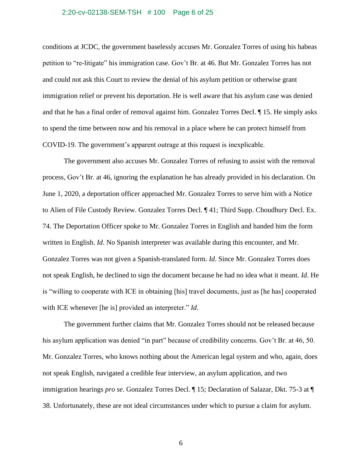#### 2:20-cv-02138-SEM-TSH # 100 Page 6 of 25

conditions at JCDC, the government baselessly accuses Mr. Gonzalez Torres of using his habeas petition to "re-litigate" his immigration case. Gov't Br. at 46. But Mr. Gonzalez Torres has not and could not ask this Court to review the denial of his asylum petition or otherwise grant immigration relief or prevent his deportation. He is well aware that his asylum case was denied and that he has a final order of removal against him. Gonzalez Torres Decl. ¶ 15. He simply asks to spend the time between now and his removal in a place where he can protect himself from COVID-19. The government's apparent outrage at this request is inexplicable.

The government also accuses Mr. Gonzalez Torres of refusing to assist with the removal process, Gov't Br. at 46, ignoring the explanation he has already provided in his declaration. On June 1, 2020, a deportation officer approached Mr. Gonzalez Torres to serve him with a Notice to Alien of File Custody Review. Gonzalez Torres Decl. ¶ 41; Third Supp. Choudhury Decl. Ex. 74. The Deportation Officer spoke to Mr. Gonzalez Torres in English and handed him the form written in English. *Id*. No Spanish interpreter was available during this encounter, and Mr. Gonzalez Torres was not given a Spanish-translated form. *Id*. Since Mr. Gonzalez Torres does not speak English, he declined to sign the document because he had no idea what it meant. *Id*. He is "willing to cooperate with ICE in obtaining [his] travel documents, just as [he has] cooperated with ICE whenever [he is] provided an interpreter." *Id*.

The government further claims that Mr. Gonzalez Torres should not be released because his asylum application was denied "in part" because of credibility concerns. Gov't Br. at 46, 50. Mr. Gonzalez Torres, who knows nothing about the American legal system and who, again, does not speak English, navigated a credible fear interview, an asylum application, and two immigration hearings *pro se*. Gonzalez Torres Decl. ¶ 15; Declaration of Salazar, Dkt. 75-3 at ¶ 38. Unfortunately, these are not ideal circumstances under which to pursue a claim for asylum.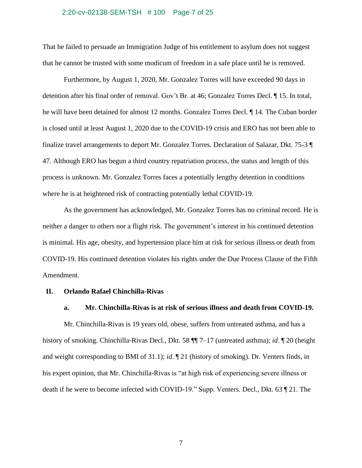#### 2:20-cv-02138-SEM-TSH # 100 Page 7 of 25

That he failed to persuade an Immigration Judge of his entitlement to asylum does not suggest that he cannot be trusted with some modicum of freedom in a safe place until he is removed.

Furthermore, by August 1, 2020, Mr. Gonzalez Torres will have exceeded 90 days in detention after his final order of removal. Gov't Br. at 46; Gonzalez Torres Decl. ¶ 15. In total, he will have been detained for almost 12 months. Gonzalez Torres Decl. ¶ 14. The Cuban border is closed until at least August 1, 2020 due to the COVID-19 crisis and ERO has not been able to finalize travel arrangements to deport Mr. Gonzalez Torres. Declaration of Salazar, Dkt. 75-3 ¶ 47. Although ERO has begun a third country repatriation process, the status and length of this process is unknown. Mr. Gonzalez Torres faces a potentially lengthy detention in conditions where he is at heightened risk of contracting potentially lethal COVID-19.

As the government has acknowledged, Mr. Gonzalez Torres has no criminal record. He is neither a danger to others nor a flight risk. The government's interest in his continued detention is minimal. His age, obesity, and hypertension place him at risk for serious illness or death from COVID-19. His continued detention violates his rights under the Due Process Clause of the Fifth Amendment.

# **II. Orlando Rafael Chinchilla-Rivas**

# **a. Mr. Chinchilla-Rivas is at risk of serious illness and death from COVID-19.**

Mr. Chinchilla-Rivas is 19 years old, obese, suffers from untreated asthma, and has a history of smoking. Chinchilla-Rivas Decl., Dkt. 58 ¶¶ 7–17 (untreated asthma); *id*. ¶ 20 (height and weight corresponding to BMI of 31.1); *id*. ¶ 21 (history of smoking). Dr. Venters finds, in his expert opinion, that Mr. Chinchilla-Rivas is "at high risk of experiencing severe illness or death if he were to become infected with COVID-19." Supp. Venters. Decl., Dkt. 63 ¶ 21. The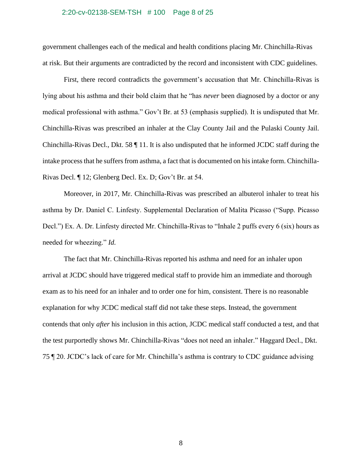#### 2:20-cv-02138-SEM-TSH # 100 Page 8 of 25

government challenges each of the medical and health conditions placing Mr. Chinchilla-Rivas at risk. But their arguments are contradicted by the record and inconsistent with CDC guidelines.

First, there record contradicts the government's accusation that Mr. Chinchilla-Rivas is lying about his asthma and their bold claim that he "has *never* been diagnosed by a doctor or any medical professional with asthma." Gov't Br. at 53 (emphasis supplied). It is undisputed that Mr. Chinchilla-Rivas was prescribed an inhaler at the Clay County Jail and the Pulaski County Jail. Chinchilla-Rivas Decl., Dkt. 58 ¶ 11. It is also undisputed that he informed JCDC staff during the intake process that he suffers from asthma, a fact that is documented on his intake form. Chinchilla-Rivas Decl. ¶ 12; Glenberg Decl. Ex. D; Gov't Br. at 54.

Moreover, in 2017, Mr. Chinchilla-Rivas was prescribed an albuterol inhaler to treat his asthma by Dr. Daniel C. Linfesty. Supplemental Declaration of Malita Picasso ("Supp. Picasso Decl.") Ex. A. Dr. Linfesty directed Mr. Chinchilla-Rivas to "Inhale 2 puffs every 6 (six) hours as needed for wheezing." *Id.*

The fact that Mr. Chinchilla-Rivas reported his asthma and need for an inhaler upon arrival at JCDC should have triggered medical staff to provide him an immediate and thorough exam as to his need for an inhaler and to order one for him, consistent. There is no reasonable explanation for why JCDC medical staff did not take these steps. Instead, the government contends that only *after* his inclusion in this action, JCDC medical staff conducted a test, and that the test purportedly shows Mr. Chinchilla-Rivas "does not need an inhaler." Haggard Decl., Dkt. 75 ¶ 20. JCDC's lack of care for Mr. Chinchilla's asthma is contrary to CDC guidance advising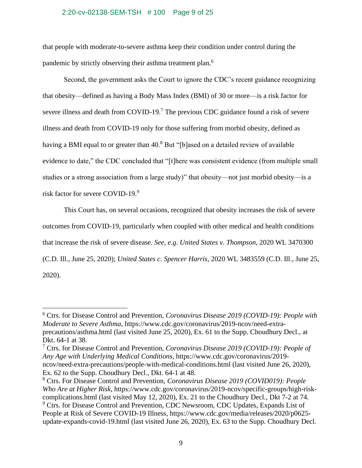## 2:20-cv-02138-SEM-TSH # 100 Page 9 of 25

that people with moderate-to-severe asthma keep their condition under control during the pandemic by strictly observing their asthma treatment plan.<sup>6</sup>

Second, the government asks the Court to ignore the CDC's recent guidance recognizing that obesity—defined as having a Body Mass Index (BMI) of 30 or more—is a risk factor for severe illness and death from COVID-19.<sup>7</sup> The previous CDC guidance found a risk of severe illness and death from COVID-19 only for those suffering from morbid obesity, defined as having a BMI equal to or greater than 40.<sup>8</sup> But "[b]ased on a detailed review of available evidence to date," the CDC concluded that "[t]here was consistent evidence (from multiple small studies or a strong association from a large study)" that obesity—not just morbid obesity—is a risk factor for severe COVID-19.<sup>9</sup>

This Court has, on several occasions, recognized that obesity increases the risk of severe outcomes from COVID-19, particularly when coupled with other medical and health conditions that increase the risk of severe disease. *See, e.g*. *United States v. Thompson*, 2020 WL 3470300 (C.D. Ill., June 25, 2020); *United States c. Spencer Harris*, 2020 WL 3483559 (C.D. Ill., June 25, 2020).

<sup>6</sup> Ctrs. for Disease Control and Prevention, *Coronavirus Disease 2019 (COVID-19): People with Moderate to Severe Asthma*, [https://www.cdc.gov/coronavirus/2019-ncov/need-extra](https://www.cdc.gov/coronavirus/2019-ncov/need-extra-precautions/asthma.html)[precautions/asthma.html](https://www.cdc.gov/coronavirus/2019-ncov/need-extra-precautions/asthma.html) (last visited June 25, 2020), Ex. 61 to the Supp. Choudhury Decl., at Dkt. 64-1 at 38.

<sup>7</sup> Ctrs. for Disease Control and Prevention, *Coronavirus Disease 2019 (COVID-19): People of Any Age with Underlying Medical Conditions*, [https://www.cdc.gov/coronavirus/2019](https://www.cdc.gov/coronavirus/2019-ncov/need-extra-precautions/people-with-medical-conditions.html) [ncov/need-extra-precautions/people-with-medical-conditions.html](https://www.cdc.gov/coronavirus/2019-ncov/need-extra-precautions/people-with-medical-conditions.html) (last visited June 26, 2020), Ex. 62 to the Supp. Choudhury Decl., Dkt. 64-1 at 48.

<sup>8</sup> Ctrs. For Disease Control and Prevention, *Coronavirus Disease 2019 (COVID019): People Who Are at Higher Risk*, https://www.cdc.gov/coronavirus/2019-ncov/specific-groups/high-riskcomplications.html (last visited May 12, 2020), Ex. 21 to the Choudhury Decl., Dkt 7-2 at 74. <sup>9</sup> Ctrs. for Disease Control and Prevention, CDC Newsroom, CDC Updates, Expands List of People at Risk of Severe COVID-19 Illness, [https://www.cdc.gov/media/releases/2020/p0625](https://www.cdc.gov/media/releases/2020/p0625-update-expands-covid-19.html) [update-expands-covid-19.html](https://www.cdc.gov/media/releases/2020/p0625-update-expands-covid-19.html) (last visited June 26, 2020), Ex. 63 to the Supp. Choudhury Decl.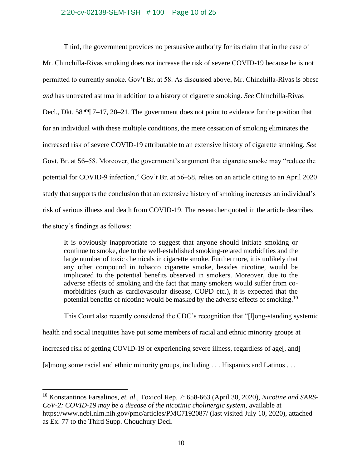## 2:20-cv-02138-SEM-TSH # 100 Page 10 of 25

Third, the government provides no persuasive authority for its claim that in the case of Mr. Chinchilla-Rivas smoking does *not* increase the risk of severe COVID-19 because he is not permitted to currently smoke. Gov't Br. at 58. As discussed above, Mr. Chinchilla-Rivas is obese *and* has untreated asthma in addition to a history of cigarette smoking. *See* Chinchilla-Rivas Decl., Dkt. 58 ¶¶ 7–17, 20–21. The government does not point to evidence for the position that for an individual with these multiple conditions, the mere cessation of smoking eliminates the increased risk of severe COVID-19 attributable to an extensive history of cigarette smoking. *See* Govt. Br. at 56–58. Moreover, the government's argument that cigarette smoke may "reduce the potential for COVID-9 infection," Gov't Br. at 56–58, relies on an article citing to an April 2020 study that supports the conclusion that an extensive history of smoking increases an individual's risk of serious illness and death from COVID-19. The researcher quoted in the article describes the study's findings as follows:

It is obviously inappropriate to suggest that anyone should initiate smoking or continue to smoke, due to the well-established smoking-related morbidities and the large number of toxic chemicals in cigarette smoke. Furthermore, it is unlikely that any other compound in tobacco cigarette smoke, besides nicotine, would be implicated to the potential benefits observed in smokers. Moreover, due to the adverse effects of smoking and the fact that many smokers would suffer from comorbidities (such as cardiovascular disease, COPD etc.), it is expected that the potential benefits of nicotine would be masked by the adverse effects of smoking.<sup>10</sup>

This Court also recently considered the CDC's recognition that "[l]ong-standing systemic health and social inequities have put some members of racial and ethnic minority groups at increased risk of getting COVID-19 or experiencing severe illness, regardless of age[, and] [a]mong some racial and ethnic minority groups, including . . . Hispanics and Latinos . . .

<sup>10</sup> Konstantinos Farsalinos, *et. al*., Toxicol Rep. 7: 658-663 (April 30, 2020), *Nicotine and SARS-CoV-2: COVID-19 may be a disease of the nicotinic cholinergic system*, available at <https://www.ncbi.nlm.nih.gov/pmc/articles/PMC7192087/> (last visited July 10, 2020), attached as Ex. 77 to the Third Supp. Choudhury Decl.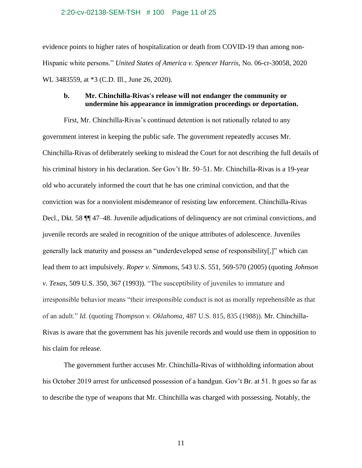### 2:20-cv-02138-SEM-TSH # 100 Page 11 of 25

evidence points to higher rates of hospitalization or death from COVID-19 than among non-Hispanic white persons." *United States of America v. Spencer Harris*, No. 06-cr-30058, 2020 WL 3483559, at \*3 (C.D. Ill., June 26, 2020).

# **b. Mr. Chinchilla-Rivas's release will not endanger the community or undermine his appearance in immigration proceedings or deportation.**

First, Mr. Chinchilla-Rivas's continued detention is not rationally related to any government interest in keeping the public safe. The government repeatedly accuses Mr. Chinchilla-Rivas of deliberately seeking to mislead the Court for not describing the full details of his criminal history in his declaration. *See* Gov't Br. 50–51. Mr. Chinchilla-Rivas is a 19-year old who accurately informed the court that he has one criminal conviction, and that the conviction was for a nonviolent misdemeanor of resisting law enforcement. Chinchilla-Rivas Decl., Dkt. 58 ¶¶ 47–48. Juvenile adjudications of delinquency are not criminal convictions, and juvenile records are sealed in recognition of the unique attributes of adolescence. Juveniles generally lack maturity and possess an "underdeveloped sense of responsibility[,]" which can lead them to act impulsively. *Roper v. Simmons*, 543 U.S. 551, 569-570 (2005) (quoting *Johnson v. Texas*, 509 U.S. 350, 367 (1993)). "The susceptibility of juveniles to immature and irresponsible behavior means "their irresponsible conduct is not as morally reprehensible as that of an adult." *Id*. (quoting *Thompson v. Oklahoma*, 487 U.S. 815, 835 (1988)). Mr. Chinchilla-Rivas is aware that the government has his juvenile records and would use them in opposition to his claim for release.

The government further accuses Mr. Chinchilla-Rivas of withholding information about his October 2019 arrest for unlicensed possession of a handgun. Gov't Br. at 51. It goes so far as to describe the type of weapons that Mr. Chinchilla was charged with possessing. Notably, the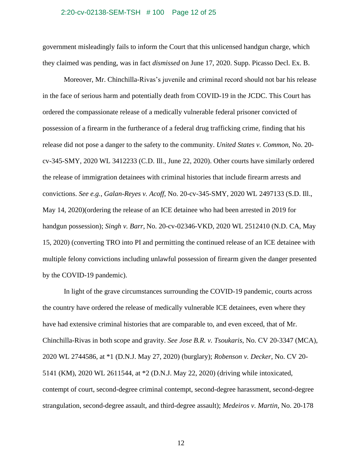#### 2:20-cv-02138-SEM-TSH # 100 Page 12 of 25

government misleadingly fails to inform the Court that this unlicensed handgun charge, which they claimed was pending, was in fact *dismissed* on June 17, 2020. Supp. Picasso Decl. Ex. B.

Moreover, Mr. Chinchilla-Rivas's juvenile and criminal record should not bar his release in the face of serious harm and potentially death from COVID-19 in the JCDC. This Court has ordered the compassionate release of a medically vulnerable federal prisoner convicted of possession of a firearm in the furtherance of a federal drug trafficking crime, finding that his release did not pose a danger to the safety to the community. *United States v. Common*, No. 20 cv-345-SMY, 2020 WL 3412233 (C.D. Ill., June 22, 2020). Other courts have similarly ordered the release of immigration detainees with criminal histories that include firearm arrests and convictions. *See e.g.*, *Galan-Reyes v. Acoff*, No. 20-cv-345-SMY, 2020 WL 2497133 (S.D. Ill., May 14, 2020)(ordering the release of an ICE detainee who had been arrested in 2019 for handgun possession); *Singh v. Barr*, No. 20-cv-02346-VKD, 2020 WL 2512410 (N.D. CA, May 15, 2020) (converting TRO into PI and permitting the continued release of an ICE detainee with multiple felony convictions including unlawful possession of firearm given the danger presented by the COVID-19 pandemic).

In light of the grave circumstances surrounding the COVID-19 pandemic, courts across the country have ordered the release of medically vulnerable ICE detainees, even where they have had extensive criminal histories that are comparable to, and even exceed, that of Mr. Chinchilla-Rivas in both scope and gravity. *See Jose B.R. v. Tsoukaris*, No. CV 20-3347 (MCA), 2020 WL 2744586, at \*1 (D.N.J. May 27, 2020) (burglary); *Robenson v. Decker*, No. CV 20- 5141 (KM), 2020 WL 2611544, at \*2 (D.N.J. May 22, 2020) (driving while intoxicated, contempt of court, second-degree criminal contempt, second-degree harassment, second-degree strangulation, second-degree assault, and third-degree assault); *Medeiros v. Martin*, No. 20-178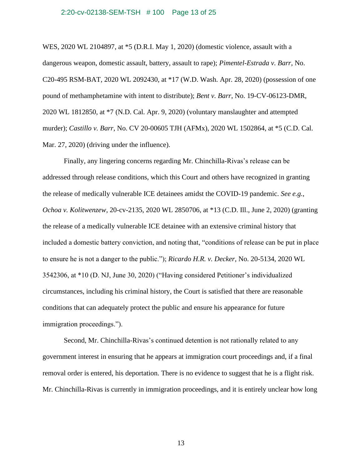#### 2:20-cv-02138-SEM-TSH # 100 Page 13 of 25

WES, 2020 WL 2104897, at \*5 (D.R.I. May 1, 2020) (domestic violence, assault with a dangerous weapon, domestic assault, battery, assault to rape); *Pimentel-Estrada v. Barr*, No. C20-495 RSM-BAT, 2020 WL 2092430, at \*17 (W.D. Wash. Apr. 28, 2020) (possession of one pound of methamphetamine with intent to distribute); *Bent v. Barr*, No. 19-CV-06123-DMR, 2020 WL 1812850, at \*7 (N.D. Cal. Apr. 9, 2020) (voluntary manslaughter and attempted murder); *Castillo v. Barr*, No. CV 20-00605 TJH (AFMx), 2020 WL 1502864, at \*5 (C.D. Cal. Mar. 27, 2020) (driving under the influence).

Finally, any lingering concerns regarding Mr. Chinchilla-Rivas's release can be addressed through release conditions, which this Court and others have recognized in granting the release of medically vulnerable ICE detainees amidst the COVID-19 pandemic. *See e.g.*, *Ochoa v. Kolitwenzew*, 20-cv-2135, 2020 WL 2850706, at \*13 (C.D. Ill., June 2, 2020) (granting the release of a medically vulnerable ICE detainee with an extensive criminal history that included a domestic battery conviction, and noting that, "conditions of release can be put in place to ensure he is not a danger to the public."); *Ricardo H.R. v. Decker*, No. 20-5134, 2020 WL 3542306, at \*10 (D. NJ, June 30, 2020) ("Having considered Petitioner's individualized circumstances, including his criminal history, the Court is satisfied that there are reasonable conditions that can adequately protect the public and ensure his appearance for future immigration proceedings.").

Second, Mr. Chinchilla-Rivas's continued detention is not rationally related to any government interest in ensuring that he appears at immigration court proceedings and, if a final removal order is entered, his deportation. There is no evidence to suggest that he is a flight risk. Mr. Chinchilla-Rivas is currently in immigration proceedings, and it is entirely unclear how long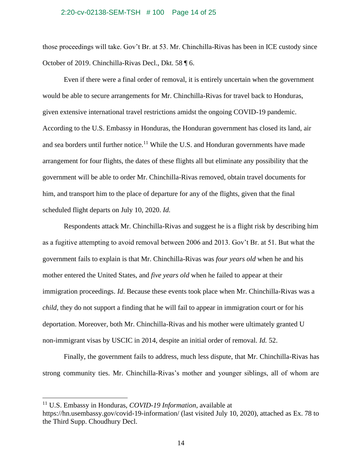#### 2:20-cv-02138-SEM-TSH # 100 Page 14 of 25

those proceedings will take. Gov't Br. at 53. Mr. Chinchilla-Rivas has been in ICE custody since October of 2019. Chinchilla-Rivas Decl., Dkt. 58 ¶ 6.

Even if there were a final order of removal, it is entirely uncertain when the government would be able to secure arrangements for Mr. Chinchilla-Rivas for travel back to Honduras, given extensive international travel restrictions amidst the ongoing COVID-19 pandemic. According to the U.S. Embassy in Honduras, the Honduran government has closed its land, air and sea borders until further notice.<sup>11</sup> While the U.S. and Honduran governments have made arrangement for four flights, the dates of these flights all but eliminate any possibility that the government will be able to order Mr. Chinchilla-Rivas removed, obtain travel documents for him, and transport him to the place of departure for any of the flights, given that the final scheduled flight departs on July 10, 2020. *Id.*

Respondents attack Mr. Chinchilla-Rivas and suggest he is a flight risk by describing him as a fugitive attempting to avoid removal between 2006 and 2013. Gov't Br. at 51. But what the government fails to explain is that Mr. Chinchilla-Rivas was *four years old* when he and his mother entered the United States, and *five years old* when he failed to appear at their immigration proceedings. *Id*. Because these events took place when Mr. Chinchilla-Rivas was a *child*, they do not support a finding that he will fail to appear in immigration court or for his deportation. Moreover, both Mr. Chinchilla-Rivas and his mother were ultimately granted U non-immigrant visas by USCIC in 2014, despite an initial order of removal*. Id.* 52.

Finally, the government fails to address, much less dispute, that Mr. Chinchilla-Rivas has strong community ties. Mr. Chinchilla-Rivas's mother and younger siblings, all of whom are

<sup>11</sup> U.S. Embassy in Honduras, *COVID-19 Information*, available at

<https://hn.usembassy.gov/covid-19-information/> (last visited July 10, 2020), attached as Ex. 78 to the Third Supp. Choudhury Decl.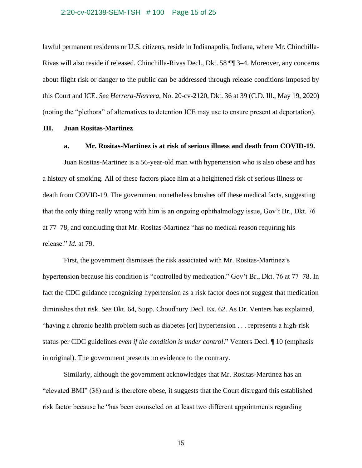## 2:20-cv-02138-SEM-TSH # 100 Page 15 of 25

lawful permanent residents or U.S. citizens, reside in Indianapolis, Indiana, where Mr. Chinchilla-Rivas will also reside if released. Chinchilla-Rivas Decl., Dkt. 58 ¶¶ 3–4. Moreover, any concerns about flight risk or danger to the public can be addressed through release conditions imposed by this Court and ICE. *See Herrera-Herrera*, No. 20-cv-2120, Dkt. 36 at 39 (C.D. Ill., May 19, 2020) (noting the "plethora" of alternatives to detention ICE may use to ensure present at deportation).

# **III. Juan Rositas-Martinez**

# **a. Mr. Rositas-Martinez is at risk of serious illness and death from COVID-19.**

Juan Rositas-Martinez is a 56-year-old man with hypertension who is also obese and has a history of smoking. All of these factors place him at a heightened risk of serious illness or death from COVID-19. The government nonetheless brushes off these medical facts, suggesting that the only thing really wrong with him is an ongoing ophthalmology issue, Gov't Br., Dkt. 76 at 77–78, and concluding that Mr. Rositas-Martinez "has no medical reason requiring his release." *Id.* at 79.

First, the government dismisses the risk associated with Mr. Rositas-Martinez's hypertension because his condition is "controlled by medication." Gov't Br., Dkt. 76 at 77–78. In fact the CDC guidance recognizing hypertension as a risk factor does not suggest that medication diminishes that risk. *See* Dkt. 64, Supp. Choudhury Decl. Ex. 62. As Dr. Venters has explained, "having a chronic health problem such as diabetes [or] hypertension . . . represents a high-risk status per CDC guidelines *even if the condition is under control*." Venters Decl. ¶ 10 (emphasis in original). The government presents no evidence to the contrary.

Similarly, although the government acknowledges that Mr. Rositas-Martinez has an "elevated BMI" (38) and is therefore obese, it suggests that the Court disregard this established risk factor because he "has been counseled on at least two different appointments regarding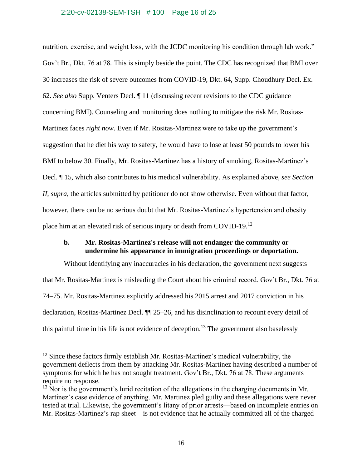## 2:20-cv-02138-SEM-TSH # 100 Page 16 of 25

nutrition, exercise, and weight loss, with the JCDC monitoring his condition through lab work." Gov't Br., Dkt. 76 at 78*.* This is simply beside the point. The CDC has recognized that BMI over 30 increases the risk of severe outcomes from COVID-19, Dkt. 64, Supp. Choudhury Decl. Ex. 62. *See also* Supp. Venters Decl. ¶ 11 (discussing recent revisions to the CDC guidance concerning BMI). Counseling and monitoring does nothing to mitigate the risk Mr. Rositas-Martinez faces *right now*. Even if Mr. Rositas-Martinez were to take up the government's suggestion that he diet his way to safety, he would have to lose at least 50 pounds to lower his BMI to below 30. Finally, Mr. Rositas-Martinez has a history of smoking, Rositas-Martinez's Decl. ¶ 15, which also contributes to his medical vulnerability. As explained above, *see Section II, supra*, the articles submitted by petitioner do not show otherwise. Even without that factor, however, there can be no serious doubt that Mr. Rositas-Martinez's hypertension and obesity place him at an elevated risk of serious injury or death from COVID-19.<sup>12</sup>

# **b. Mr. Rositas-Martinez's release will not endanger the community or undermine his appearance in immigration proceedings or deportation.**

Without identifying any inaccuracies in his declaration, the government next suggests that Mr. Rositas-Martinez is misleading the Court about his criminal record. Gov't Br., Dkt. 76 at 74–75. Mr. Rositas-Martinez explicitly addressed his 2015 arrest and 2017 conviction in his declaration, Rositas-Martinez Decl. ¶¶ 25–26, and his disinclination to recount every detail of this painful time in his life is not evidence of deception.<sup>13</sup> The government also baselessly

<sup>&</sup>lt;sup>12</sup> Since these factors firmly establish Mr. Rositas-Martinez's medical vulnerability, the government deflects from them by attacking Mr. Rositas-Martinez having described a number of symptoms for which he has not sought treatment. Gov't Br., Dkt. 76 at 78. These arguments require no response.

 $13$  Nor is the government's lurid recitation of the allegations in the charging documents in Mr. Martinez's case evidence of anything. Mr. Martinez pled guilty and these allegations were never tested at trial. Likewise, the government's litany of prior arrests—based on incomplete entries on Mr. Rositas-Martinez's rap sheet—is not evidence that he actually committed all of the charged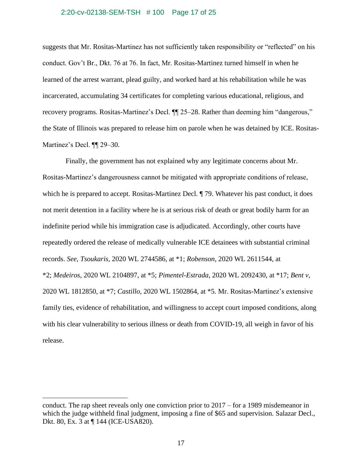#### 2:20-cv-02138-SEM-TSH # 100 Page 17 of 25

suggests that Mr. Rositas-Martinez has not sufficiently taken responsibility or "reflected" on his conduct. Gov't Br., Dkt. 76 at 76. In fact, Mr. Rositas-Martinez turned himself in when he learned of the arrest warrant, plead guilty, and worked hard at his rehabilitation while he was incarcerated, accumulating 34 certificates for completing various educational, religious, and recovery programs. Rositas-Martinez's Decl. ¶¶ 25–28. Rather than deeming him "dangerous," the State of Illinois was prepared to release him on parole when he was detained by ICE. Rositas-Martinez's Decl. ¶¶ 29–30.

Finally, the government has not explained why any legitimate concerns about Mr. Rositas-Martinez's dangerousness cannot be mitigated with appropriate conditions of release, which he is prepared to accept. Rositas-Martinez Decl.  $\parallel$  79. Whatever his past conduct, it does not merit detention in a facility where he is at serious risk of death or great bodily harm for an indefinite period while his immigration case is adjudicated. Accordingly, other courts have repeatedly ordered the release of medically vulnerable ICE detainees with substantial criminal records. *See, Tsoukaris*, 2020 WL 2744586, at \*1; *Robenson*, 2020 WL 2611544, at \*2; *Medeiros*, 2020 WL 2104897, at \*5; *Pimentel-Estrada*, 2020 WL 2092430, at \*17; *Bent v*, 2020 WL 1812850, at \*7; *Castillo*, 2020 WL 1502864, at \*5*.* Mr. Rositas-Martinez's extensive family ties, evidence of rehabilitation, and willingness to accept court imposed conditions, along with his clear vulnerability to serious illness or death from COVID-19, all weigh in favor of his release.

conduct. The rap sheet reveals only one conviction prior to 2017 – for a 1989 misdemeanor in which the judge withheld final judgment, imposing a fine of \$65 and supervision. Salazar Decl., Dkt. 80, Ex. 3 at ¶ 144 (ICE-USA820).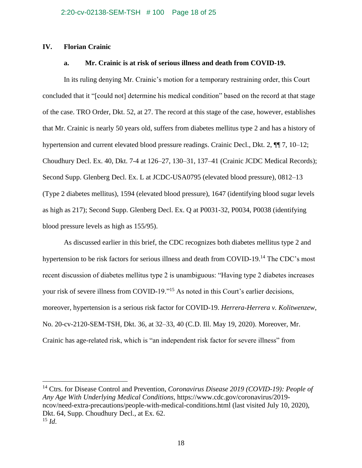# **IV. Florian Crainic**

# **a. Mr. Crainic is at risk of serious illness and death from COVID-19.**

In its ruling denying Mr. Crainic's motion for a temporary restraining order, this Court concluded that it "[could not] determine his medical condition" based on the record at that stage of the case. TRO Order, Dkt. 52, at 27. The record at this stage of the case, however, establishes that Mr. Crainic is nearly 50 years old, suffers from diabetes mellitus type 2 and has a history of hypertension and current elevated blood pressure readings. Crainic Decl., Dkt. 2,  $\P$ , 7, 10–12; Choudhury Decl. Ex. 40, Dkt. 7-4 at 126–27, 130–31, 137–41 (Crainic JCDC Medical Records); Second Supp. Glenberg Decl. Ex. L at JCDC-USA0795 (elevated blood pressure), 0812–13 (Type 2 diabetes mellitus), 1594 (elevated blood pressure), 1647 (identifying blood sugar levels as high as 217); Second Supp. Glenberg Decl. Ex. Q at P0031-32, P0034, P0038 (identifying blood pressure levels as high as 155/95).

As discussed earlier in this brief, the CDC recognizes both diabetes mellitus type 2 and hypertension to be risk factors for serious illness and death from COVID-19.<sup>14</sup> The CDC's most recent discussion of diabetes mellitus type 2 is unambiguous: "Having type 2 diabetes increases your risk of severe illness from COVID-19."<sup>15</sup> As noted in this Court's earlier decisions, moreover, hypertension is a serious risk factor for COVID-19. *Herrera-Herrera v. Kolitwenzew*, No. 20-cv-2120-SEM-TSH, Dkt. 36, at 32–33, 40 (C.D. Ill. May 19, 2020). Moreover, Mr. Crainic has age-related risk, which is "an independent risk factor for severe illness" from

<sup>14</sup> Ctrs. for Disease Control and Prevention, *Coronavirus Disease 2019 (COVID-19): People of Any Age With Underlying Medical Conditions*, https://www.cdc.gov/coronavirus/2019 ncov/need-extra-precautions/people-with-medical-conditions.html (last visited July 10, 2020), Dkt. 64, Supp. Choudhury Decl., at Ex. 62. <sup>15</sup> *Id*.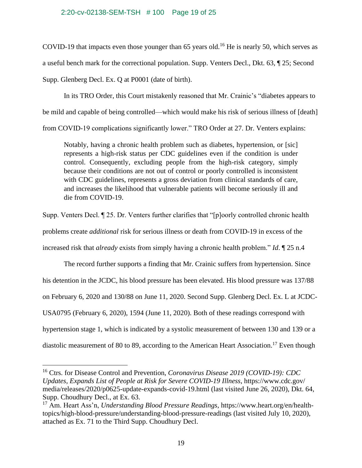# 2:20-cv-02138-SEM-TSH # 100 Page 19 of 25

COVID-19 that impacts even those younger than 65 years old.<sup>16</sup> He is nearly 50, which serves as a useful bench mark for the correctional population. Supp. Venters Decl., Dkt. 63, ¶ 25; Second Supp. Glenberg Decl. Ex. Q at P0001 (date of birth).

In its TRO Order, this Court mistakenly reasoned that Mr. Crainic's "diabetes appears to be mild and capable of being controlled—which would make his risk of serious illness of [death] from COVID-19 complications significantly lower." TRO Order at 27. Dr. Venters explains:

Notably, having a chronic health problem such as diabetes, hypertension, or [sic] represents a high-risk status per CDC guidelines even if the condition is under control. Consequently, excluding people from the high-risk category, simply because their conditions are not out of control or poorly controlled is inconsistent with CDC guidelines, represents a gross deviation from clinical standards of care, and increases the likelihood that vulnerable patients will become seriously ill and die from COVID-19.

Supp. Venters Decl. ¶ 25. Dr. Venters further clarifies that "[p]oorly controlled chronic health problems create *additional* risk for serious illness or death from COVID-19 in excess of the increased risk that *already* exists from simply having a chronic health problem." *Id*. ¶ 25 n.4

The record further supports a finding that Mr. Crainic suffers from hypertension. Since his detention in the JCDC, his blood pressure has been elevated. His blood pressure was 137/88 on February 6, 2020 and 130/88 on June 11, 2020. Second Supp. Glenberg Decl. Ex. L at JCDC-USA0795 (February 6, 2020), 1594 (June 11, 2020). Both of these readings correspond with hypertension stage 1, which is indicated by a systolic measurement of between 130 and 139 or a diastolic measurement of 80 to 89, according to the American Heart Association.<sup>17</sup> Even though

<sup>16</sup> Ctrs. for Disease Control and Prevention, *Coronavirus Disease 2019 (COVID-19): CDC Updates, Expands List of People at Risk for Severe COVID-19 Illness*, https://www.cdc.gov/ media/releases/2020/p0625-update-expands-covid-19.html (last visited June 26, 2020), Dkt. 64, Supp. Choudhury Decl., at Ex. 63.

<sup>17</sup> Am. Heart Ass'n, *Understanding Blood Pressure Readings*, https://www.heart.org/en/healthtopics/high-blood-pressure/understanding-blood-pressure-readings (last visited July 10, 2020), attached as Ex. 71 to the Third Supp. Choudhury Decl.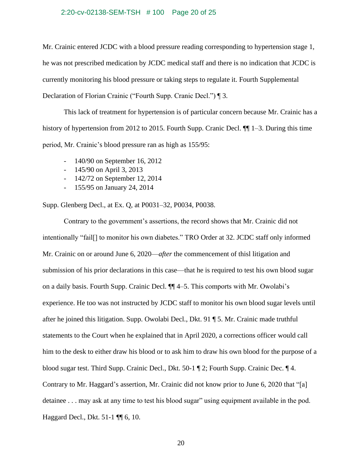#### 2:20-cv-02138-SEM-TSH # 100 Page 20 of 25

Mr. Crainic entered JCDC with a blood pressure reading corresponding to hypertension stage 1, he was not prescribed medication by JCDC medical staff and there is no indication that JCDC is currently monitoring his blood pressure or taking steps to regulate it. Fourth Supplemental Declaration of Florian Crainic ("Fourth Supp. Cranic Decl.") ¶ 3.

This lack of treatment for hypertension is of particular concern because Mr. Crainic has a history of hypertension from 2012 to 2015. Fourth Supp. Cranic Decl.  $\P$  1–3. During this time period, Mr. Crainic's blood pressure ran as high as 155/95:

- 140/90 on September 16, 2012
- 145/90 on April 3, 2013
- 142/72 on September 12, 2014
- 155/95 on January 24, 2014

Supp. Glenberg Decl., at Ex. Q, at P0031–32, P0034, P0038.

Contrary to the government's assertions, the record shows that Mr. Crainic did not intentionally "fail[] to monitor his own diabetes." TRO Order at 32. JCDC staff only informed Mr. Crainic on or around June 6, 2020—*after* the commencement of thisl litigation and submission of his prior declarations in this case—that he is required to test his own blood sugar on a daily basis. Fourth Supp. Crainic Decl. ¶¶ 4–5. This comports with Mr. Owolabi's experience. He too was not instructed by JCDC staff to monitor his own blood sugar levels until after he joined this litigation. Supp. Owolabi Decl., Dkt. 91 ¶ 5. Mr. Crainic made truthful statements to the Court when he explained that in April 2020, a corrections officer would call him to the desk to either draw his blood or to ask him to draw his own blood for the purpose of a blood sugar test. Third Supp. Crainic Decl., Dkt. 50-1 ¶ 2; Fourth Supp. Crainic Dec. ¶ 4. Contrary to Mr. Haggard's assertion, Mr. Crainic did not know prior to June 6, 2020 that "[a] detainee . . . may ask at any time to test his blood sugar" using equipment available in the pod. Haggard Decl., Dkt. 51-1 ¶¶ 6, 10.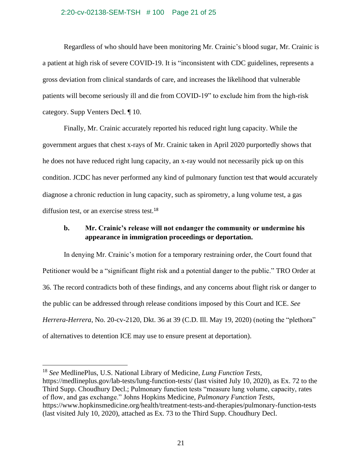### 2:20-cv-02138-SEM-TSH # 100 Page 21 of 25

Regardless of who should have been monitoring Mr. Crainic's blood sugar, Mr. Crainic is a patient at high risk of severe COVID-19. It is "inconsistent with CDC guidelines, represents a gross deviation from clinical standards of care, and increases the likelihood that vulnerable patients will become seriously ill and die from COVID-19" to exclude him from the high-risk category. Supp Venters Decl. ¶ 10.

Finally, Mr. Crainic accurately reported his reduced right lung capacity. While the government argues that chest x-rays of Mr. Crainic taken in April 2020 purportedly shows that he does not have reduced right lung capacity, an x-ray would not necessarily pick up on this condition. JCDC has never performed any kind of pulmonary function test that would accurately diagnose a chronic reduction in lung capacity, such as spirometry, a lung volume test, a gas diffusion test, or an exercise stress test.<sup>18</sup>

# **b. Mr. Crainic's release will not endanger the community or undermine his appearance in immigration proceedings or deportation.**

In denying Mr. Crainic's motion for a temporary restraining order, the Court found that Petitioner would be a "significant flight risk and a potential danger to the public." TRO Order at 36. The record contradicts both of these findings, and any concerns about flight risk or danger to the public can be addressed through release conditions imposed by this Court and ICE. *See Herrera-Herrera*, No. 20-cv-2120, Dkt. 36 at 39 (C.D. Ill. May 19, 2020) (noting the "plethora" of alternatives to detention ICE may use to ensure present at deportation).

<sup>18</sup> *See* MedlinePlus, U.S. National Library of Medicine, *Lung Function Tests*, <https://medlineplus.gov/lab-tests/lung-function-tests/> (last visited July 10, 2020), as Ex. 72 to the Third Supp. Choudhury Decl.; Pulmonary function tests "measure lung volume, capacity, rates of flow, and gas exchange." Johns Hopkins Medicine, *Pulmonary Function Tests*, <https://www.hopkinsmedicine.org/health/treatment-tests-and-therapies/pulmonary-function-tests> (last visited July 10, 2020), attached as Ex. 73 to the Third Supp. Choudhury Decl.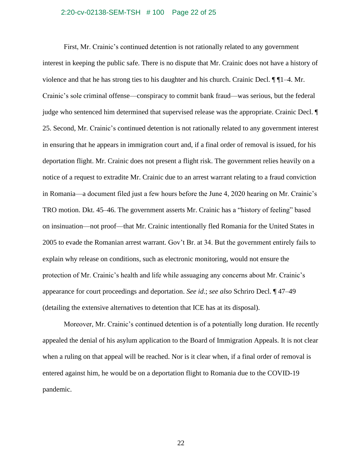#### 2:20-cv-02138-SEM-TSH # 100 Page 22 of 25

First, Mr. Crainic's continued detention is not rationally related to any government interest in keeping the public safe. There is no dispute that Mr. Crainic does not have a history of violence and that he has strong ties to his daughter and his church. Crainic Decl. ¶ ¶1–4. Mr. Crainic's sole criminal offense—conspiracy to commit bank fraud—was serious, but the federal judge who sentenced him determined that supervised release was the appropriate. Crainic Decl. ¶ 25. Second, Mr. Crainic's continued detention is not rationally related to any government interest in ensuring that he appears in immigration court and, if a final order of removal is issued, for his deportation flight. Mr. Crainic does not present a flight risk. The government relies heavily on a notice of a request to extradite Mr. Crainic due to an arrest warrant relating to a fraud conviction in Romania—a document filed just a few hours before the June 4, 2020 hearing on Mr. Crainic's TRO motion. Dkt. 45–46. The government asserts Mr. Crainic has a "history of feeling" based on insinuation—not proof—that Mr. Crainic intentionally fled Romania for the United States in 2005 to evade the Romanian arrest warrant. Gov't Br. at 34. But the government entirely fails to explain why release on conditions, such as electronic monitoring, would not ensure the protection of Mr. Crainic's health and life while assuaging any concerns about Mr. Crainic's appearance for court proceedings and deportation. *See id*.; *see also* Schriro Decl. ¶ 47–49 (detailing the extensive alternatives to detention that ICE has at its disposal).

Moreover, Mr. Crainic's continued detention is of a potentially long duration. He recently appealed the denial of his asylum application to the Board of Immigration Appeals. It is not clear when a ruling on that appeal will be reached. Nor is it clear when, if a final order of removal is entered against him, he would be on a deportation flight to Romania due to the COVID-19 pandemic.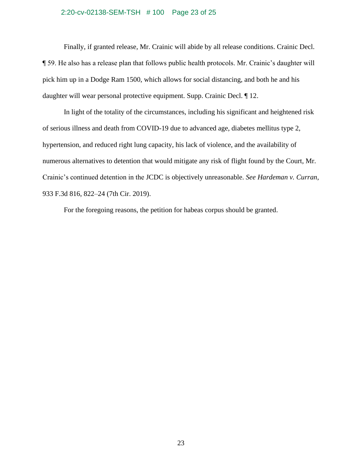# 2:20-cv-02138-SEM-TSH # 100 Page 23 of 25

Finally, if granted release, Mr. Crainic will abide by all release conditions. Crainic Decl. ¶ 59. He also has a release plan that follows public health protocols. Mr. Crainic's daughter will pick him up in a Dodge Ram 1500, which allows for social distancing, and both he and his daughter will wear personal protective equipment. Supp. Crainic Decl. ¶ 12.

In light of the totality of the circumstances, including his significant and heightened risk of serious illness and death from COVID-19 due to advanced age, diabetes mellitus type 2, hypertension, and reduced right lung capacity, his lack of violence, and the availability of numerous alternatives to detention that would mitigate any risk of flight found by the Court, Mr. Crainic's continued detention in the JCDC is objectively unreasonable. *See Hardeman v. Curran*, 933 F.3d 816, 822–24 (7th Cir. 2019).

For the foregoing reasons, the petition for habeas corpus should be granted.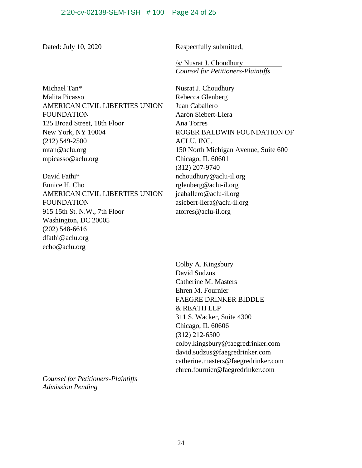Dated: July 10, 2020 Respectfully submitted,

/s/ Nusrat J. Choudhury *Counsel for Petitioners-Plaintiffs*

Michael Tan\* Malita Picasso AMERICAN CIVIL LIBERTIES UNION FOUNDATION 125 Broad Street, 18th Floor New York, NY 10004 (212) 549-2500 [mtan@aclu.org](mailto:mtan@aclu.org) [mpicasso@aclu.org](mailto:mpicasso@aclu.org)

David Fathi\* Eunice H. Cho AMERICAN CIVIL LIBERTIES UNION FOUNDATION 915 15th St. N.W., 7th Floor Washington, DC 20005 (202) 548-6616 [dfathi@aclu.org](mailto:dfathi@aclu.org) echo@aclu.org

Nusrat J. Choudhury Rebecca Glenberg Juan Caballero Aarón Siebert-Llera Ana Torres ROGER BALDWIN FOUNDATION OF ACLU, INC. 150 North Michigan Avenue, Suite 600 Chicago, IL 60601 (312) 207-9740 [nchoudhury@aclu-il.org](mailto:nchoudhury@aclu-il.org) [rglenberg@aclu-il.org](mailto:rglenberg@aclu-il.org) [jcaballero@aclu-il.org](mailto:jcaballero@aclu-il.org) [asiebert-llera@aclu-il.org](mailto:asiebert-llera@aclu-il.org) atorres@aclu-il.org

Colby A. Kingsbury David Sudzus Catherine M. Masters Ehren M. Fournier FAEGRE DRINKER BIDDLE & REATH LLP 311 S. Wacker, Suite 4300 Chicago, IL 60606 (312) 212-6500 colby.kingsbury@faegredrinker.com david.sudzus@faegredrinker.com catherine.masters@faegredrinker.com ehren.fournier@faegredrinker.com

*Counsel for Petitioners-Plaintiffs Admission Pending*